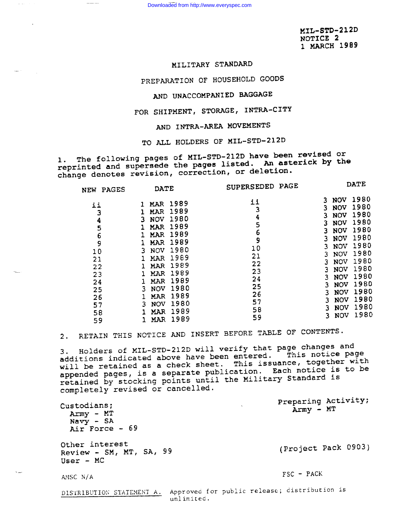Downloaded from http://www.everyspec.com

MIL-STD-212D NOTICE 2 I MARCH 1989

**DAME** 

## MILITARY STANDARD

—

 $\hat{\pi}$  ,  $\hat{\pi}$  ,

.—

PREPARATION OF HOUSEHOLD GOODS

# AND UNACCOMPANIED BAGGAGE

FOR SHIPMENT, STORAGE, INTRA-CITY

AND INTRA-AREA MOVEMENTS

TO ALL HOLDERS OF MIL-STD-212D

1. The following pages of MIL-STD-212D have been revised or<br>reprinted and supersede the pages listed. An asterick by the change denotes revision, correction, or deletion.

| <b>PAGES</b><br><b>NEW</b>                                       | <b>DATE</b>                                                                                                                                                                                                                         | <b>SUPERSEDED</b><br><b>PAGE</b>                          |                                                                                                                                                                                                     | ם בתע                                                                                |  |  |
|------------------------------------------------------------------|-------------------------------------------------------------------------------------------------------------------------------------------------------------------------------------------------------------------------------------|-----------------------------------------------------------|-----------------------------------------------------------------------------------------------------------------------------------------------------------------------------------------------------|--------------------------------------------------------------------------------------|--|--|
| ii<br>3<br>4<br>5<br>$\frac{6}{9}$<br>10<br>21<br>22<br>23<br>24 | 1989<br>MAR<br>1989<br><b>MAR</b><br>1980<br><b>NOV</b><br>3<br>1989<br><b>MAR</b><br>1989<br><b>MAR</b><br>1989<br><b>MAR</b><br>1980<br><b>NOV</b><br>3<br>1989<br>MAR<br>1989<br>MAR<br>1989<br><b>MAR</b><br>1989<br><b>MAR</b> | ii<br>3<br>4<br>5<br>6<br>9<br>10<br>21<br>22<br>23<br>24 | <b>NOV</b><br>3<br><b>NOV</b><br>3<br><b>NOV</b><br>3<br><b>NOV</b><br>3<br><b>NOV</b><br>3<br><b>NOV</b><br>3<br><b>NOV</b><br>3<br><b>NOV</b><br>3<br><b>NOV</b><br><b>NOV</b><br><b>NOV</b><br>3 | 1980<br>1980<br>1980<br>1980<br>1980<br>1980<br>1980<br>1980<br>1980<br>1980<br>1980 |  |  |
| 25<br>26<br>57<br>58<br>59                                       | 1980<br><b>NOV</b><br>3<br>1989<br>MAR<br>1980<br><b>NOV</b><br>3.<br>1989<br><b>MAR</b><br>1989<br>MAR                                                                                                                             | 25<br>26<br>57<br>58<br>59                                | <b>NOV</b><br>3<br><b>NOV</b><br><b>NOV</b><br><b>NOV</b><br>3<br><b>NOV</b><br>3.                                                                                                                  | 1980<br>1980<br>1980<br>1980<br>1980                                                 |  |  |

 $\frac{1}{2} \frac{1}{2} \frac{1}{2} \frac{1}{2} \frac{1}{2} \frac{1}{2} \frac{1}{2} \frac{1}{2} \frac{1}{2} \frac{1}{2} \frac{1}{2} \frac{1}{2} \frac{1}{2} \frac{1}{2} \frac{1}{2} \frac{1}{2} \frac{1}{2} \frac{1}{2} \frac{1}{2} \frac{1}{2} \frac{1}{2} \frac{1}{2} \frac{1}{2} \frac{1}{2} \frac{1}{2} \frac{1}{2} \frac{1}{2} \frac{1}{2} \frac{1}{2} \frac{1}{2} \frac{1}{2} \frac{$ 

2. RETAIN THIS NOTICE AND INSERT BEFORE TABLE OF CONTENTS.

3. Holders of MIL-STD-212D will verify that page changes and additions indicated above have been entered. This notice page will be retained as a check sheet. This issuance, together with appended pages, is <sup>a</sup> separate publication. Each notice is to be retained by stocking points until the Military Standard is completely revised or cancelled.

Preparing Activity; Custodians; Army - MT Army - MT  $Navy$  - SA Air Force - 69 Other interest Review - SM, MT, SA, <sup>99</sup> (Project Pack 0903) User - MC FSC - PACK AMSC N/A DISTRIBUTION STATEMENT A. Approved for public release; distribution is unlimited.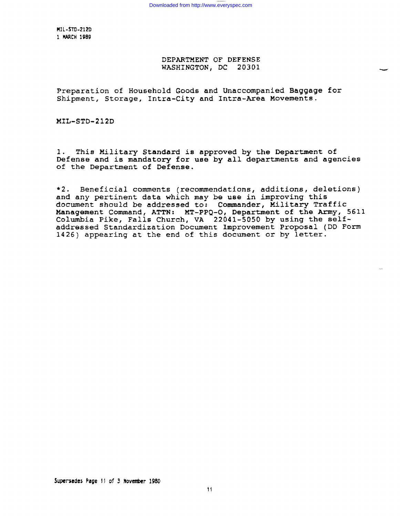MIL-STD-212D 1 WRCH1989

## DEPARTMENT OF DEFENSE WASHINGTON, DC 20301

-

Preparation of Household Goods and Unaccompanied Baggage for Shipment, Storage, Intra-City and Intra-Area Movements.

MIL-STD-212D

1. This Military Standard is approved by the Department of Defense and is mandatory for use by all departments and agencies of the Department of Defense.

\*2. Beneficial comments (recommendations, additions, deletions) and any pertinent data which may be use in improving this document should be addressed to: Commander, Military Traffic Management Command, ATTN: MT-PPQ-O, Department of the Army, 5611 Columbia Pike, Falls Church, VA 22041-5050 by using the selfaddressed Standardization Document Improvement Proposal (DD Form 1426) appearing at the end of this document or by letter.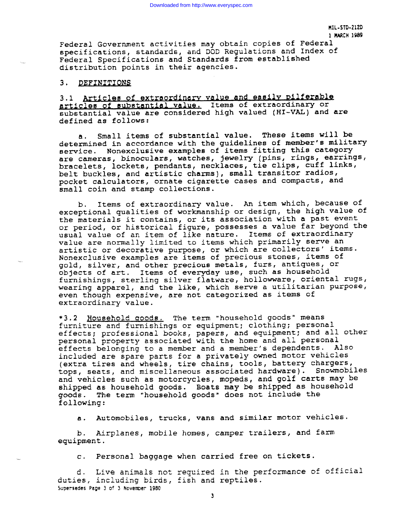Federal Government activities may obtain copies of Federal specifications, standards, and DOD Regulations and Index of Federal Specifications and Standards from established distribution points in their agencies.

### 3. DEFINITIONS

3.1 Articles of extraordinary value and easily pilferable articles of substantial value. Items of extraordinary or substantial value are considered high valued (HI-VAL) and are defined as follows:

a. Small items of substantial value. These items will be determined in accordance with the quidelines of member's military service. Nonexclusive examples of items fitting this category are cameras, binoculars, watches, jewelry (pins, rings, earrings, bracelets, lockets, pendants, necklaces, tie clips, cuff links, belt buckles, and artistic charms), small transitor radios, pocket calculators, ornate cigarette cases and compacts, and small coin and stamp collections.

b. Items of extraordinary value. An item which, because of exceptional qualities of workmanship or design, the high value Of the materials it contains, or its association with a past event or period, or historical figure, possesses a value far beyond the usual value of an item of like nature. Items of extraordinary value are normally limited to items which primarily serve an artistic or decorative purpose, or which are collectors' items. Nonexclusive examples are items of precious stones, items of gold, silver, and other precious metals, furs, antiques, or objects of art. Items of everyday use, such as household furnishings, sterling silver flatware, hollowware, oriental rugs, wearing apparel, and the like, which serve a utilitarian purpose, even though expensive, are not categorized as items of extraordinary value.

\*3.2 Bo usehold aoods. The term "household goods" means furniture and furnishings or equipment; clothing; personal effects; professional books, papers, and equipment; and all other personal property associated with the home and all personal effects belonging to a member and a member's dependents. Also included are spare parts for a privately owned motor vehicles (extra tires and wheels, tire chains, tools, battery chargers, tops , seats, and miscellaneous associated hardware). Snowmobiles and vehicles such as motorcycles, mopeds, and golf carts may be shipped as household goods. Boats may be shipped as household goods. The term "household goods" does not include the The term "household goods" does not include the following:

a. Automobiles, trucks, vans and similar motor vehicles.

b. Airplanes, mobile homes, camper trailers, and farm equipment.

c. Personal baggage when carried free on tickets.

d. Live animals not required in the performance of official duties, including birds, fish and reptiles. **SupersedesPeue 3 of 3 November 1960**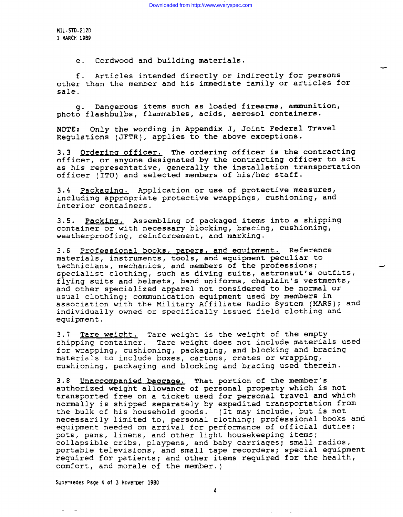**HIL-STD-212D 1 WCH 1969**

e. Cordwood and building materials.

f. Articles intended directly or indirectly for persons other than the member and his immediate family or articles for sale.

4

g. Dangerous items such as loaded firearms, ammunition, photo flashbulbs, flammables, acids, aerosol containers.

 $NOTE:$  Only the wording in Appendix J, Joint Federal Travel Regulations (JFTR), applies to the above exceptions.

3.3 Ordering officer. The ordering officer is the contracting officer, or anyone designated by the contracting officer to act as his representative, generally the installation transportation officer (ITO) and selected members of his/her staff.

3.4 Packaging. Application or use of protective measures, including appropriate protective wrappings, cushioning, and interior containers.

3.5. Packing. Assembling of packaged items into a shipping container or with necessary blocking, bracing, cushioning, weatherproofing, reinforcement, and marking.

3.6 Professional books, papers, and equipment. Reference materials, instruments, tools, and equipment peculiar to technicians, mechanics, and members of the professions; specialist clothing, such as diving suits, astronaut's outfits, flying suits and helmets, band uniforms, chaplain's vestments, and other specialized apparel not considered to be normal or usual clothing; communication equipment used by members in association with the Military Affiliate Radio System (MARS); and individually owned or specifically issued field clothing and equipment.

3.7 Tere weight. Tare weight is the weight of the empty shipping container. Tare weight does not include materials used for wrapping, cushioning, packaging, and blocking and bracing materials to include boxes, cartons, crates or wrapping, cushioning, packaging and blocking and bracing used therein.

3.8 Unaccompanied baggage. That portion of the member's authorized weight allowance of personal property which is not transported free on a ticket used for personal travel and which normally is shipped separately by expedited transportation from the bulk of his household goods. (It may include, but is not necessarily **limited to,** personal clothing; professional books and equipment needed on arrival for performance of official duties; pots, pans, linens, and other light housekeeping items; collapsible cribs, playpens, and baby carriages; small radios, portable televisions, and small tape recorders; special equipment required for patients; and other items required for the health, comfort, and morale of the member. )

**Supewe~es Page 4 of 3 tmvenber 1960**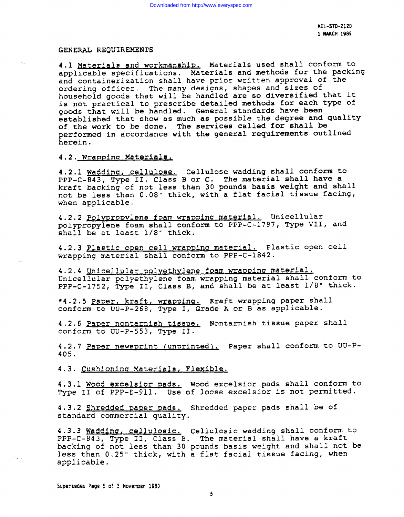**HIL-STD-2L2D** 1**MARCH 19B9**

#### GENERAL REQUIREMENTS

4.1 Materials and workmanship. Materials used shall conform to applicable specifications. Materials and methods for the packing and containerization shall have prior written approval of the ordering officer. The many designs, shapes and sizes of household goods that will be handled are so diversified that it is not practical to prescribe detailed methods for each type of goods that will be handled. General standards have been established that show as much as possible the degree and quality of the work to be done. The services called for shall be performed in accordance with the general requirements outlined herein.

### 4.2. Wrapping Materials.

4.2.1 Waddina, cellulose. Cellulose wadding shall conform to PPP-C-843, Type II, Class B or C. The material shall have a kraft backing of not less than 30 pounds basis weight and shall not be less than 0.08" thick, with a flat facial tissue facing, when applicable.

4.2.2 Polypropylene foam wrapping material. Unicellular polypropylene foam shall conform to PPP-C-1797, Type VII, and shall be at least 1/8" thick.

4.2.3 Plastic open cell wrapping material. Plastic open cell wrapping material shall conform to PPP-C-1842.

4.2.4 Unicellular polyethvlene foam wrapping material. Unicellular polyethylene foam wrapping material shall conform to PPP-C-1752, Type II, Class B, and shall be at least 1/8" thick.

\*4.2.5 Paper, kraft, wrapping, Kraft wrapping paper shall conform to  $UU-P-268$ , Type I, Grade A or B as applicable.

4.2.6 Paper nontarnish tissue. Nontarnish tissue paper shall conform to UU-P-553, Type II.

4.2.7 Peper newsprint (unprinted). Paper shall conform to UU-P-405.

4.3. Cushioning Materials, Flexible.

4.3.1 Wood excelsior pads. Wood excelsior pads shall conform to Type II of PPP-E-911. Use of loose excelsior is not permitted.

4.3.2 Shredded paper pads. Shredded paper pads shall be of standard commercial quality.

4.3.3 Wadding, cellulosic. Cellulosic wadding shall conform to PPP-C-843, Type II, Class B. The material shall have a kraft backing of not less than 30 pounds basis weight and shall not be less than 0,25" thick, with a flat facial tissue facing, when applicable.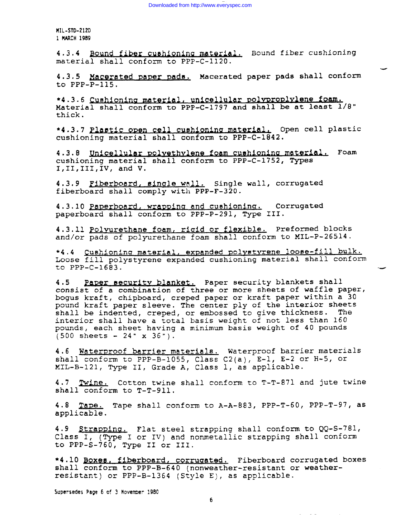**MIL-STD-212D 1 MARCH 19B9**

4.3.4 Bound fiber cushioning material. Bound fiber cushioning material shall conform to PPP-C-1120.

4.3.5 Macerated paper pads. Macerated paper pads shall conform to PPP-P-115.

-

\*4.3.6 Cushioning material, unicellular polyproplylene foam. Material shall conform to PPP-C-1797 and shall be at least  $1/8"$ thick.

\*4.3.7 Plastic open cell cushioning material. Open cell plastic cushioning material shall conform to PPP-C-1842.

4.3.8 Unicellular polyethylene foam cushioning material. Foam cushioning material shall conform to PPP-C-1752, Types I,II,III,IV, and V.

4.3.9 Fiberboard, single wall. Single wall, corrugated fiberboard shall comply with PPP-F-320.

4.3.10 Paperboard, wrapping and cushioning. Corrugated paperboard shall conform to PPP-P-291, Type III.

4.3.11 Polyurethane foam, rigid or flexible. Preformed blocks and/or pads of polyurethane foam shall conform to MIL-P-26514.

\*4.4 Cushioning material, expanded polystyrene loose-fill bulk. Loose fill polystyrene expanded cushioning material shall conform to  $PPP-C-1683$ .

4.5 Paper security blanket. Paper security blankets shall consist of a combination of three or more sheets of waffle paper, bogus kraft, chipboard, creped paper or kraft paper within a 30 pound kraft paper sleeve. The center ply of the interior sheets shall be indented, creped, or embossed to give thickness. The interior shall have a total basis weight of not less than 160 pounds, each sheet having a minimum basis weight of 40 pounds  $(500$  sheets - 24" x 36").

4.6 Waterproof barrier materials. Waterproof barrier materials shall conform to PPP-B-1055, Class C2(a),  $E-1$ ,  $E-2$  or  $H-5$ , or XIL-B-121, Type II, Grade A, Class 1, as applicable.

4.7 Twine. Cotton twine shall conform to T-T-871 and jute twine shall conform to T-T-911.

4.8 Tape. Tape shall conform to A-A-883, PPP-T-60, PPP-T-97, as applicable.

4.9 Strapping. Flat steel strapping shall conform to  $QQ-S-781$ , Class I, (Type I or IV) and nonmetallic strapping shall conform to PPP-S-760, Type II or III.

\*4.10 Boxes, fiberboard, corrugated. Fiberboard corrugated boxes shall conform to PPP-B-640 (nonweather-resistant or weatherresistant) or PPP-B-1364 (Style E), as applicable.

Supersedes Page 6 of 3 November 1980

and the state of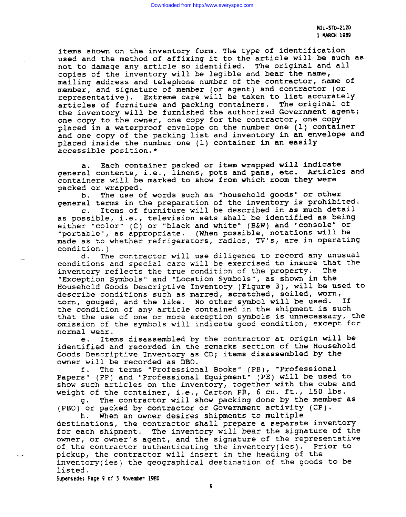**HIL-STD-21Z0 1 MARCH 19B9**

items shown on the inventory form. The type of identification used and the method of affixing it to the article will be such as not to damage any article so identified. The original and all copies of the inventory will be legible and bear the name, mailing address and telephone number of the contractor, name of member, and signature of member (or agent) and contractor (or representative) . Extreme care will be taken to list accurately articles of furniture and packing containers. The original of the inventory will be furnished the authorized Government agent; one copy to the owner, one copy for the contractor, one copy placed in a waterproof envelope on the number one (1) container and one copy of the packing list and inventory in an envelope and placed inside the number one (1) container in an easily accessible position.\*

a. Each container packed or item wrapped will indicate general contents, i.e., linens, pots and pans, etc. Articles and containers will be marked to show from which room they were packed or wrapped.

b. The use of words such as "household goods" or other general terms in the preparation of the inventory is prohibited.

c. Items of furniture will be described in as much detail as possible, i.e., television sets shall be identified as being either "color" (C) or "black and white" (B&W) and "console" or "portable", as appropriate. (When possible, notations will be made as to whether refrigerators, radios, TV's, are in operating condition.)<br>d. Th

The contractor will use diligence to record any unusual conditions and special care will be exercised to insure that the inventory reflects the true condition of the property. The "Exception Symbols" and "Location Symbols", as shown in the Household Goods Descriptive Inventory (Figure 3), will be used to describe conditions such as marred, scratched, soiled, worn, torn, gouged, and the like. No other symbol will be used. If the condition of any article contained in the shipment is such that the use of one or more exception symbols is unnecessary, the omission of the symbols will indicate good condition, except for normal wear.

Items disassembled by the contractor at origin will be e. identified and recorded in the remarks section of the Household Goods Descriptive Inventory as CD; items disassembled by the owner will be recorded as DBO.

f. The terms "Professional Books" (PB), "Professional Papers" (PP) and "Professional Equipment" (PE) will be used to show such articles on the inventory, together with the cube and weight of the container, i.e., Carton PB,  $6$  cu. ft., 150 lbs.

g. The contractor will show packing done by the member as (PBO) or packed by contractor or Government activity (CP).

h. When an owner desires shipments to multiple destinations, the contractor shall prepare a separate inventory for each shipment. The inventory will bear the signature of the owner, or owner's agent, and the signature of the representative of the contractor authenticating the inventory(ies). Prior to pickup, the contractor will insert in the heading of the inventory(ies) the geographical destination of the goods to be listed .

**SupersedesPage 9 of 3 Novenber 1980**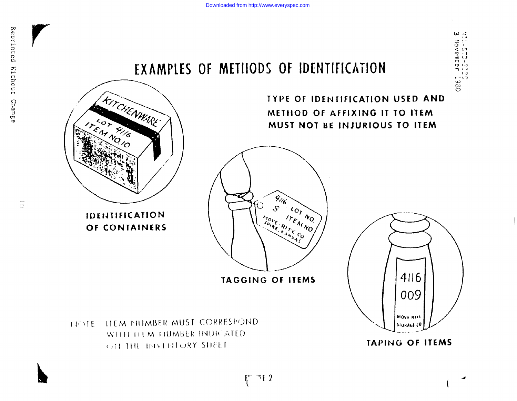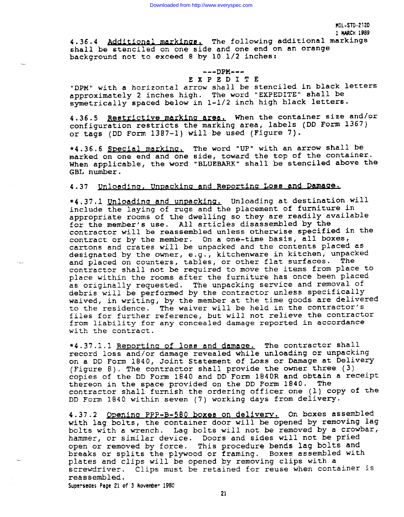4.36.4 Additional markings. The following additional markings shall be stenciled on one side and one end on an orange background not to exceed 8 by 10 1/2 inches:

# ---DPM---

EXP ED I T E "DPM" with a horizontal arrow shall be stenciled in black letters approximately 2 inches high. The word "EXPEDITE" shall be symetrically spaced below in 1-1/2 inch high black letters.

4.36.5 Restrictive marking area. When the container size and/or configuration restricts the marking area, labels (DD Form 1367) or tags (DD Form 1387-1) will be used (Figure 7).

\*4.36.6 Special marking. The word "UP" with an arrow shall be marked on one end and one side, toward the top of the container. When applicable, the word "BLUEBARK" shall be stenciled above the GBL number.

# 4.37 Unloading, Unpacking and Reporting Loss and Damage.

\*4.37.1 Unloading and unpacking. Unloading at destination will include the laying of rugs and the placement of furniture in appropriate rooms of the dwelling so they are readily available for the member's use. All articles disassembled by the contractor will be reassembled unless otherwise specified in the contract or by the member. On a one-time basis, all boxes, cartons and crates will be unpacked and the contents placed as designated by the owner, e.g., kitchenware in kitchen, unpacked and placed on counters, tables, or other flat surfaces. The contractor shall not be required to move the items from place to place within the rooms after the furniture has once been placed as originally requested. The unpacking service and removal of debris will be performed by the contractor unless specifically waived, in writing, by the member at the **time** goods are delivered to the residence. The waiver will be held in the contractor's files for further reference, but will not relieve the contractor from liability for any concealed damage reported in accordance with the contract.

\*4.37.1.1 Reporting of loss and damage. The contractor shall record loss and/or damage revealed while unloading or unpacking on a DD Form 1840, Joint Statement of Loss or Damage at Delivery (Figure 8). The contractor shall provide the owner three (3) copies of the DD Form 1840 and DD Form 1840R and obtain a receipt thereon in the space provided on the DD Form 1840. The contractor shall furnish the ordering officer one (1) copy of the DD Form 1840 within seven (7) working days from delivery.

4.37.2 Opening PPP-B-560 boxes on delivery. On boxes assembled with lag bolts, the container door will be opened by removing lag bolts with a wrench. Lag bolts will not be removed by a crowbar, hammer, or similar device. Doors and sides will not be pried open or removed by force. This procedure bends lag bolts and breaks or splits the plywood or framing. Boxes assembled with plates and clips will be opened by removing clips with a screwdriver. Clips must be retained for reuse when container is reassembled.

Supersedes **Page 21 of 3 Novenber 1980**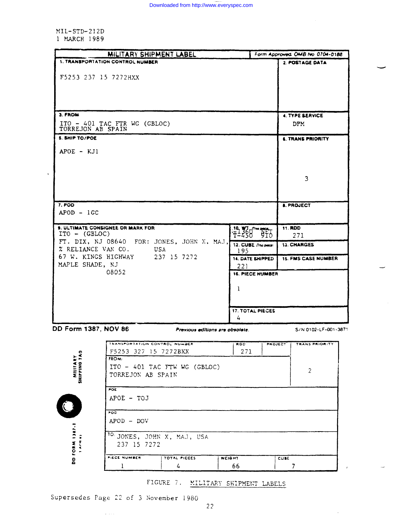$MIL-STD-212D$ 1 MARCH 1989

|                          | MILITARY SHIPMENT LABEL                               |                                 |        |                                                 |             | Form Approved: OMB No. 0704-0188 |
|--------------------------|-------------------------------------------------------|---------------------------------|--------|-------------------------------------------------|-------------|----------------------------------|
|                          | 1. TRANSPORTATION CONTROL NUMBER                      |                                 |        |                                                 |             | 2. POSTAGE DATA                  |
|                          |                                                       |                                 |        |                                                 |             |                                  |
| F5253 237 15 7272HXX     |                                                       |                                 |        |                                                 |             |                                  |
|                          |                                                       |                                 |        |                                                 |             |                                  |
|                          |                                                       |                                 |        |                                                 |             |                                  |
|                          |                                                       |                                 |        |                                                 |             |                                  |
| 3. FROM                  |                                                       |                                 |        |                                                 |             | <b>4. TYPE SERVICE</b>           |
|                          | $ITO - 401$ TAC FTR WG (GBLOC)                        |                                 |        |                                                 |             | <b>DPM</b>                       |
| TORREJON AB SPAIN        |                                                       |                                 |        |                                                 |             |                                  |
| <b>5. SHIP TO/POE</b>    |                                                       |                                 |        |                                                 |             | <b>6. TRANS PRIORITY</b>         |
| $APOE$ - $KJI$           |                                                       |                                 |        |                                                 |             |                                  |
|                          |                                                       |                                 |        |                                                 |             |                                  |
|                          |                                                       |                                 |        |                                                 |             |                                  |
|                          |                                                       |                                 |        |                                                 |             | 3                                |
|                          |                                                       |                                 |        |                                                 |             |                                  |
|                          |                                                       |                                 |        |                                                 |             |                                  |
| $7.$ POD                 |                                                       |                                 |        |                                                 |             |                                  |
| $APOD - 1GC$             |                                                       |                                 |        |                                                 |             | <b>8. PROJECT</b>                |
|                          |                                                       |                                 |        |                                                 |             |                                  |
|                          | 9. ULTIMATE CONSIGNEE OR MARK FOR                     |                                 |        |                                                 |             | <b>11. RDD</b>                   |
| $ITO - (GBIOC)$          |                                                       |                                 |        | $\frac{10}{12}$ $\frac{10}{25}$ $\frac{10}{25}$ |             | 271                              |
|                          | FT. DIX, NJ 08640 FOR: JONES, JOHN X, MAJ,            |                                 |        | 12. CUBE (This piece)                           |             | 13. CHARGES                      |
| % RELIANCE VAN CO.       | USA                                                   |                                 |        | 195                                             |             |                                  |
| MAPLE SHADE, NJ          | 67 W. KINGS HIGHWAY 237 15 7272                       |                                 |        | 14. DATE SHIPPED                                |             | <b>15. FMS CASE NUMBER</b>       |
|                          | 08052                                                 |                                 |        | 221                                             |             |                                  |
|                          |                                                       |                                 |        | <b>16. PIECE NUMBER</b>                         |             |                                  |
|                          |                                                       |                                 |        | 1                                               |             |                                  |
|                          |                                                       |                                 |        |                                                 |             |                                  |
|                          |                                                       |                                 |        |                                                 |             |                                  |
|                          |                                                       |                                 |        | <b>17. TOTAL PIECES</b>                         |             |                                  |
|                          |                                                       |                                 |        | 4                                               |             |                                  |
| DD Form 1387, NOV 86     |                                                       | Previous editions are obsolate. |        |                                                 |             | S/N 0102-LF-001-3871             |
|                          |                                                       |                                 |        |                                                 |             |                                  |
|                          | TRANSPORTATION CONTROL NUMBER<br>F5253 327 15 7272BXX |                                 |        | <b>RDD</b><br>271                               | PROJECT     | <b>TRANS PRIORITY</b>            |
| MILITARY<br>SHIPPING TAG | FROM:                                                 |                                 |        |                                                 |             |                                  |
|                          | ITO - 401 TAC FTW WG (GBLOC)                          |                                 |        |                                                 |             |                                  |
|                          | TORREJON AB SPAIN                                     |                                 |        |                                                 |             | $\overline{c}$                   |
|                          |                                                       |                                 |        |                                                 |             |                                  |
|                          | <b>POE</b>                                            |                                 |        |                                                 |             |                                  |
|                          | APOE - TOJ                                            |                                 |        |                                                 |             |                                  |
|                          |                                                       |                                 |        |                                                 |             |                                  |
|                          | POP<br>$APOD - DOV$                                   |                                 |        |                                                 |             |                                  |
|                          |                                                       |                                 |        |                                                 |             |                                  |
|                          | <sup>10</sup> JONES, JOHN X, MAJ, USA                 |                                 |        |                                                 |             |                                  |
| ArR 63                   | 237 15 7272                                           |                                 |        |                                                 |             |                                  |
| <b>DD FORM 1387-1</b>    |                                                       |                                 |        |                                                 |             |                                  |
|                          | PIECE NUMBER                                          | TOTAL PIECES                    | WEIGHT |                                                 | <b>CUBE</b> |                                  |
|                          | 1                                                     | 4                               |        | 66                                              |             | 7                                |

FIGURE 7. MILITARY SHIPMENT LABELS

 $\sim$ 

Supersedes Page 22 of 3 November 1980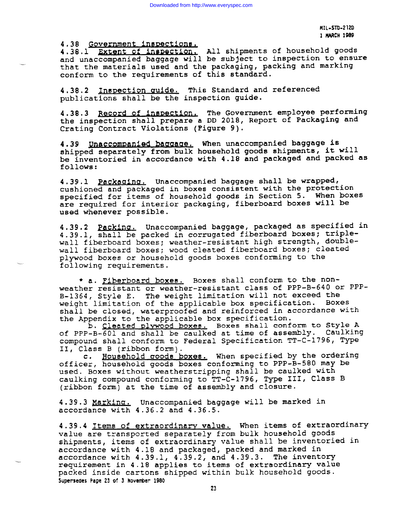**I!IL-STD-212D 1 MARCH 1989**

**4.38 GO f=~ent \$aw~ctm**

---

**4.38.1 Extent of inspection. All shipments of household goods** and unaccompanied baggage will be subject to inspection to ensure that the materials used and the packaging, packing and marking conform to the requirements of this standard.

4.38.2 Inspection guide. This Standard and referenced publications shall be the inspection quide.

4.38.3 Record of inspection. The Government employee performing the inspection shall prepare a DD 2018, Report of Packaging and Crating Contract Violations (Pigure 9).

4.39 Unaccompanied baggage. When unaccompanied baggage is shipped separately from bulk household goods shipments, it will be inventoried in accordance with 4.18 and packaged and packed as follows:

4.39.1 Packaging. Unaccompanied baggage shall be wrapped, cushioned and packaged in boxes consistent with the protection specified for items of household goods in Section 5. When boxes are required for interior packaging, fiberboard boxes will be used whenever possible.

4.39,2 Unaccompanied baggage, packaged as specified in 4.39.1, shall be packed in corrugated fiberboard boxes; triplewall fiberboard boxes; weather-resistant high strength, doublewall fiberboard boxes; wood cleated fiberboard boxes; cleated plywood boxes or household goods boxes conforming to the following requirements.

\* a. *Fiberboard boxes*. Boxes shall conform to the nonweather resistant or weather-resistant **class** of PPP-B-640 or PPP-B-1364, Style E. The weight limitation will not exceed the weight limitation of the applicable box specification. Boxes shall be closed, waterproofed and reinforced in accordance with the Appendix to the applicable box specification.

b. Cleated plywood boxes. Boxes shall conform to Style A of PPP-B-601 and shall be caulked at time of assembly. Caulking compound shall conform to Federal Specification TT-c-1796, Type 11, Class B (ribbon form).

c. Household goods boxes. When specified by the ordering officer, household goods boxes conforming to PPP-B-580 may be used. Boxes without weatherstripping shall be caulked with caulking compound conforming to TT-C-1796, Type III, Class B (ribbon form) at the time of assembly and closure.

4.39.3 Marking. Unaccompanied baggage will be marked in accordance with 4.36.2 and 4.36.5.

4.39.4 Items of extraordinary value. When items of extraordinary value are transported separately from bulk household goods shipments, items of extraordinary value shall be inventoried in accordance with 4.lB and packaged, packed and marked in accordance with  $4.39.1$ ,  $4.39.2$ , and  $4.39.3$ . The inventory requirement in 4.18 applies to items of extraordinary value packed inside cartons shipped within bulk household goods. **SupersedesPage 23 of 3 Rovenber 1980**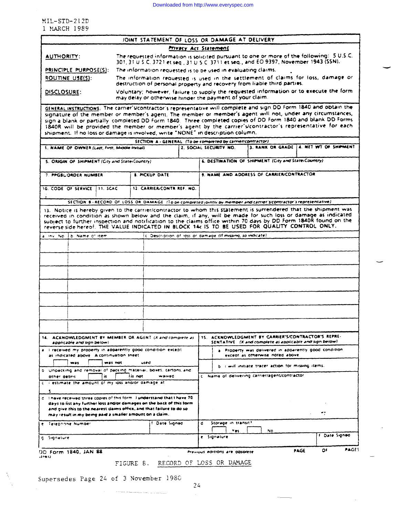MIL-STD-212D 1 MARCH 1989

|                              | JOINT STATEMENT OF LOSS OR DAMAGE AT DELIVERY                                                                                                                                       |  |  |  |
|------------------------------|-------------------------------------------------------------------------------------------------------------------------------------------------------------------------------------|--|--|--|
| <b>Privacy Act Statement</b> |                                                                                                                                                                                     |  |  |  |
| <b>AUTHORITY:</b>            | The requested information is solicited pursuant to one or more of the following: 5 U.S.C.<br>301, 31 U.S.C. 3721 et seq., 31 U.S.C. 3711 et seq., and EO 9397, November 1943 (SSN). |  |  |  |
| PRINCIPLE PURPOSE(S):        | The information requested is to be used in evaluating claims.                                                                                                                       |  |  |  |
| ROUTINE USE(S):              | The information requested is used in the settlement of claims for loss, damage or<br>destruction of personal property and recovery from liable third parties.                       |  |  |  |
| DISCLOSURE:                  | Voluntary; however, failure to supply the requested information or to execute the form<br>may delay or otherwise hinger the payment of your claim.                                  |  |  |  |
|                              | cruces: wetweeners. The correct treatescens' requirements will complete and unp DD form 1840 and obtain the                                                                         |  |  |  |

GENERAL INSTRUCTIONS: The carrier Vcontractor's representative will complete and sign DD form 1840 and obtain the signature of the member or member's agent. The member or member's agent will not, under any circumstances, sign a blank or partially completed DD form 1840. Three completed copies of DD Form 1840 and blank DD Forms 1840R will be provided the member or member's agent by the carrier's contractor's representative for each shipment

| SECTION A - GENERAL (To be completed by carrier/contractor)                                                                                                                                                                                                                                                                                                                                                                                            |                                                            |                                                                                                                | 3. RANK OR GRADE   4. NET WT OF SHIPMENT |  |
|--------------------------------------------------------------------------------------------------------------------------------------------------------------------------------------------------------------------------------------------------------------------------------------------------------------------------------------------------------------------------------------------------------------------------------------------------------|------------------------------------------------------------|----------------------------------------------------------------------------------------------------------------|------------------------------------------|--|
| 1. NAME OF OWNER (Last, First, Middle Initial)                                                                                                                                                                                                                                                                                                                                                                                                         | 2. SOCIAL SECURITY NO.                                     |                                                                                                                |                                          |  |
| S. ORIGIN OF SHIPMENT (City and State(Country).                                                                                                                                                                                                                                                                                                                                                                                                        |                                                            | 6. DESTINATION OF SHIPMENT (City and State/Country)                                                            |                                          |  |
| <b>8. PICKUP DATE</b><br>7. PPGBL/ORDER NUMBER                                                                                                                                                                                                                                                                                                                                                                                                         |                                                            | 9. NAME AND ADDRESS OF CARRIER/CONTRACTOR                                                                      |                                          |  |
| 10. CODE OF SERVICE<br>111.5CAC<br>12. CARRIER/CONTR. REF. NO.                                                                                                                                                                                                                                                                                                                                                                                         |                                                            |                                                                                                                |                                          |  |
| SECTION: 8 - RECORD: OF LOSS: OR: DAMAGE: (To be completed jointly by member and carrier scontractor's representative)                                                                                                                                                                                                                                                                                                                                 |                                                            |                                                                                                                |                                          |  |
| 13. Notice is hereby given to the carrier/contractor to whom this statement is surrendered that the shipment was<br>received in condition as shown below and the claim, if any, will be made for such loss or damage as indicated<br>subject to further inspection and notification to the claims office within 70 days by DD Form 1840R found on the<br>reverse side hereof. THE VALUE INDICATED IN BLOCK 14c IS TO BE USED FOR QUALITY CONTROL ONLY. |                                                            |                                                                                                                |                                          |  |
| a inv. No. 1b. Name of item                                                                                                                                                                                                                                                                                                                                                                                                                            | c. Description of loss or damage (If missing, so indicate) |                                                                                                                |                                          |  |
|                                                                                                                                                                                                                                                                                                                                                                                                                                                        |                                                            |                                                                                                                |                                          |  |
|                                                                                                                                                                                                                                                                                                                                                                                                                                                        |                                                            |                                                                                                                |                                          |  |
|                                                                                                                                                                                                                                                                                                                                                                                                                                                        |                                                            |                                                                                                                |                                          |  |
|                                                                                                                                                                                                                                                                                                                                                                                                                                                        |                                                            |                                                                                                                |                                          |  |
|                                                                                                                                                                                                                                                                                                                                                                                                                                                        |                                                            |                                                                                                                |                                          |  |
|                                                                                                                                                                                                                                                                                                                                                                                                                                                        |                                                            |                                                                                                                |                                          |  |
|                                                                                                                                                                                                                                                                                                                                                                                                                                                        |                                                            |                                                                                                                |                                          |  |
|                                                                                                                                                                                                                                                                                                                                                                                                                                                        |                                                            |                                                                                                                |                                          |  |
|                                                                                                                                                                                                                                                                                                                                                                                                                                                        |                                                            |                                                                                                                |                                          |  |
|                                                                                                                                                                                                                                                                                                                                                                                                                                                        |                                                            |                                                                                                                |                                          |  |
| 14. ACKNOWLEDGMENT BY MEMBER OR AGENT (X and complete as<br>applicable and sign below).                                                                                                                                                                                                                                                                                                                                                                |                                                            | 15. ACKNOWLEDGMENT BY CARRIER'S/CONTRACTOR'S REPRE-<br>SENTATIVE (X and complete as applicable and sign below) |                                          |  |
| a. I received my property in apparently good condition except.<br>as indicated above. A continuation sneet                                                                                                                                                                                                                                                                                                                                             |                                                            | a Property was delivered in apparently good condition<br>except as otherwise noted above                       |                                          |  |
| <b>Was</b><br>was not<br>used                                                                                                                                                                                                                                                                                                                                                                                                                          |                                                            | b. I will initiate tracer action for missing items.                                                            |                                          |  |
| b. Unpacking and removal of packing material, boxes, cartons, and<br>lis not<br><b>waived</b><br>is.<br>other debris                                                                                                                                                                                                                                                                                                                                   |                                                            | c. Name of delivering carrier/agent/contractor                                                                 |                                          |  |
| c. I estimate the amount of my loss and/or damage at<br>5.                                                                                                                                                                                                                                                                                                                                                                                             |                                                            |                                                                                                                |                                          |  |
| d. Thave received three copies of this form. Tunderstand that I have 70.<br>days to list any further loss and/or damages on the back of this form<br>and give this to the nearest claims office, and that failure to do so.                                                                                                                                                                                                                            |                                                            |                                                                                                                | -:                                       |  |
| may result in my being paid a smaller amount on a claim.<br><b>F. Date Signed</b>                                                                                                                                                                                                                                                                                                                                                                      | Storage in transit?<br>đ                                   |                                                                                                                |                                          |  |
| e. Telephone Number                                                                                                                                                                                                                                                                                                                                                                                                                                    | Yes                                                        | No.                                                                                                            |                                          |  |
| g Signature                                                                                                                                                                                                                                                                                                                                                                                                                                            | e Signature                                                |                                                                                                                | F. Date Signed                           |  |
|                                                                                                                                                                                                                                                                                                                                                                                                                                                        |                                                            |                                                                                                                |                                          |  |

Supersedes Page 24 of 3 November 1980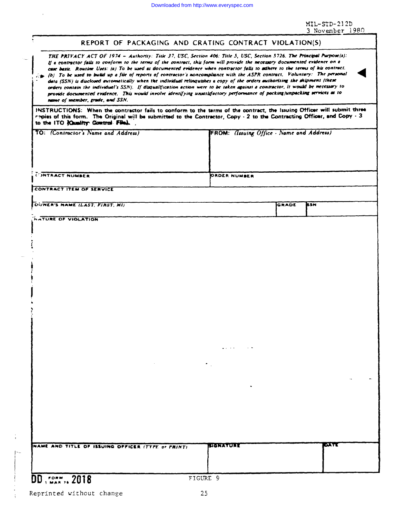MIL-STD-212D<br>3 November 1980

| THE PRIVACY ACT OF 1974 - Authority: Title 37, USC, Section 406: Title 5, USC, Section 5726. The Principal Purpose(a):<br>If a contractor fails to conform to the terms of the contract, this form will provide the necessary documented evidence on a<br>case basis. Rousine Uses: (a) To be used as documented evidence when contractor falls to adhere to the terms of his contract.<br>$\gtrsim$ b). To be used to build up a file of reports of contractor's noncompliance with the ASPR contract, Voluntary: The personal<br>data (SSN) is disclosed automatically when the individual relinquishes a copy of the orders authorizing the shipment (these<br>orders contain the individual's SSN). If disqualification action were to be taken against a contractor, it would be necessary to<br>provide documented evidence. This would involve identifying unsatisfactory performance of packing/unpacking services as to<br>name of member, grade, and SSN.<br>INSTRUCTIONS: When the contractor fails to conform to the terms of the contract, the Issuing Officer will submit three<br>reples of this form. The Original will be submitted to the Contractor, Copy - 2 to the Contracting Officer, and Copy - 3<br>to the ITO Country Control File).<br>TO: (Contractor's Name and Address)<br>FROM: (Issuing Office - Name and Address)<br>C INTRACT NUMBER<br><b>ORDER NUMBER</b><br>CONTRACT ITEM OF SERVICE<br>DWNER'S NAME (LAST, FIRST, MI)<br>BSN<br><b>GRADE</b><br><b>HATURE OF VIOLATION</b><br>$-1.5$<br>е кимен<br>NAME AND TITLE OF ISSUING OFFICER (TYPE of PRINT) | REPORT OF PACKAGING AND CRATING CONTRACT VIOLATION(S) |  |
|--------------------------------------------------------------------------------------------------------------------------------------------------------------------------------------------------------------------------------------------------------------------------------------------------------------------------------------------------------------------------------------------------------------------------------------------------------------------------------------------------------------------------------------------------------------------------------------------------------------------------------------------------------------------------------------------------------------------------------------------------------------------------------------------------------------------------------------------------------------------------------------------------------------------------------------------------------------------------------------------------------------------------------------------------------------------------------------------------------------------------------------------------------------------------------------------------------------------------------------------------------------------------------------------------------------------------------------------------------------------------------------------------------------------------------------------------------------------------------------------------------------------------------------------------------------------------------------------|-------------------------------------------------------|--|
|                                                                                                                                                                                                                                                                                                                                                                                                                                                                                                                                                                                                                                                                                                                                                                                                                                                                                                                                                                                                                                                                                                                                                                                                                                                                                                                                                                                                                                                                                                                                                                                            |                                                       |  |
|                                                                                                                                                                                                                                                                                                                                                                                                                                                                                                                                                                                                                                                                                                                                                                                                                                                                                                                                                                                                                                                                                                                                                                                                                                                                                                                                                                                                                                                                                                                                                                                            |                                                       |  |
|                                                                                                                                                                                                                                                                                                                                                                                                                                                                                                                                                                                                                                                                                                                                                                                                                                                                                                                                                                                                                                                                                                                                                                                                                                                                                                                                                                                                                                                                                                                                                                                            |                                                       |  |
|                                                                                                                                                                                                                                                                                                                                                                                                                                                                                                                                                                                                                                                                                                                                                                                                                                                                                                                                                                                                                                                                                                                                                                                                                                                                                                                                                                                                                                                                                                                                                                                            |                                                       |  |
|                                                                                                                                                                                                                                                                                                                                                                                                                                                                                                                                                                                                                                                                                                                                                                                                                                                                                                                                                                                                                                                                                                                                                                                                                                                                                                                                                                                                                                                                                                                                                                                            |                                                       |  |
|                                                                                                                                                                                                                                                                                                                                                                                                                                                                                                                                                                                                                                                                                                                                                                                                                                                                                                                                                                                                                                                                                                                                                                                                                                                                                                                                                                                                                                                                                                                                                                                            |                                                       |  |
|                                                                                                                                                                                                                                                                                                                                                                                                                                                                                                                                                                                                                                                                                                                                                                                                                                                                                                                                                                                                                                                                                                                                                                                                                                                                                                                                                                                                                                                                                                                                                                                            |                                                       |  |
|                                                                                                                                                                                                                                                                                                                                                                                                                                                                                                                                                                                                                                                                                                                                                                                                                                                                                                                                                                                                                                                                                                                                                                                                                                                                                                                                                                                                                                                                                                                                                                                            |                                                       |  |
|                                                                                                                                                                                                                                                                                                                                                                                                                                                                                                                                                                                                                                                                                                                                                                                                                                                                                                                                                                                                                                                                                                                                                                                                                                                                                                                                                                                                                                                                                                                                                                                            |                                                       |  |
|                                                                                                                                                                                                                                                                                                                                                                                                                                                                                                                                                                                                                                                                                                                                                                                                                                                                                                                                                                                                                                                                                                                                                                                                                                                                                                                                                                                                                                                                                                                                                                                            |                                                       |  |
|                                                                                                                                                                                                                                                                                                                                                                                                                                                                                                                                                                                                                                                                                                                                                                                                                                                                                                                                                                                                                                                                                                                                                                                                                                                                                                                                                                                                                                                                                                                                                                                            |                                                       |  |
|                                                                                                                                                                                                                                                                                                                                                                                                                                                                                                                                                                                                                                                                                                                                                                                                                                                                                                                                                                                                                                                                                                                                                                                                                                                                                                                                                                                                                                                                                                                                                                                            |                                                       |  |
|                                                                                                                                                                                                                                                                                                                                                                                                                                                                                                                                                                                                                                                                                                                                                                                                                                                                                                                                                                                                                                                                                                                                                                                                                                                                                                                                                                                                                                                                                                                                                                                            |                                                       |  |

# DD, ream, 2018

 $\ddot{i}$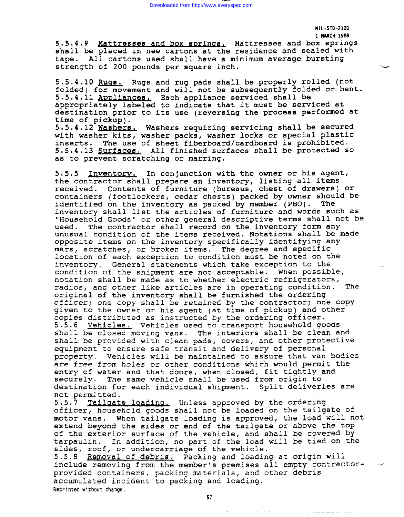—

5.5.4.9 Mattresses and box springs. Mattresses and box springs shall be placed in new cartons at the residence and sealed with tape. All cartons used shall have a minimum average bursting strength of 200 pounds per square inch.

5.5.4.10 Rugs. Rugs and rug pads shall be properly rolled (not folded) for movement and will not be subsequently folded or bent.  $5.5.4.11$  Appliances. Each appliance serviced shall be appropriately labeled to indicate that it must be serviced at destination prior to its use **(reversing the** process performed at time of pickup). 5.5.4.12 Mashers. Washers requiring servicing shall be secured with washer kits, washer packs, washer locks or special plastic inserts. The use of sheet fiberboard/cardboard is prohibited. 5.5.4.13 Surfaces. All finished surfaces shall be protected so

as to prevent scratching or marring.

5.5.5 Inventory. In conjunction with the owner or his agent, the contractor shall prepare an inventory, listing all items received. Contents of furniture (bureaus, chest of drawers) or containers (footlockers, cedar chests) packed by owner should be identified on the inventory as packed by member (PBO). The identified on the inventory as packed by member (PBO). inventory shall list the articles of furniture and words such as "Household Goods" or other general descriptive terms shall not be used. The contractor shall record on the inventory form any unusual condition of the items received. Notations shall be made opposite items on the inventory specifically identifying any mars, scratches, or broken items. The degree and specific location of each exception to condition must be noted on the inventory. General statements which take exception to the condition of the shipment are not acceptable. When possible, notation shall be made as to whether electric refrigerators, radios, and other like articles are in operating condition. The original of the inventory shall be furnished the ordering officer; one copy shall be retained by the contractor; one Copy given to the owner or his agent (at time of pickup) and other copies distributed as instructed by the ordering officer. 5.5.6 Vehiclee. Vehicles used to transport household goods shall be closed moving vans. The interiors shall be clean and shall be provided with clean pads, covers, and other protective equipment to ensure safe transit and delivery of personal property, Vehicles will be maintained to assure that van bodies are free from holes or other conditions which would permit the entry of water and that doors, when closed, fit tightly and securely. The same vehicle shall be used from origin to destination for each individual shipment. Split deliveries are not permitted.

5.5.7 Tailgate loading, Unless approved by the ordering officer, household goods shall not be loaded on the tailgate of motor vans. When tailgate loading is approved, the load will not extend beyond the sides or end of the tailgate or above the top of the exterior surface of the vehicle, and shall be covered by tarpaulin. In addition, no part of the load will be tied on the sides, roof, or undercarriage of the vehicle.

5.5.8 Removal of debris. Packing and loading at origin will include removing from the **member's premises all empty** contractor- provided containers, packing materials, and other debris accumulated incident to packing and loading. **Reprtnted wt thout change,**

 $\sigma_{\rm{eff}}$  , and the second contract and the second contract of  $\sigma_{\rm{eff}}$ 

**57**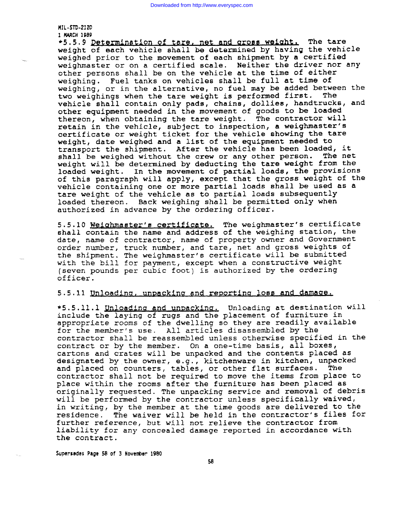#### **MIL-SIW212D 1 MUCH 1989**

+5.5.9 Determination of tare, net and gross weight. The tare weight of each vehicle shall be determined by having the vehicle weighed prior to the **movement of each shipment by a** certified weighmaster or on a certified scale. Neither the driver nor any other persons shall be on the vehicle at the time of either weighing. Fuel tanks on vehicles shall be full at time of weighing, or in the alternative, no fuel may be added between the<br>two weighings when the tare weight is performed first. The two weighings when the tare weight is performed first. vehicle shall contain only pads, chains, dollies, handtrucks, and other equipment needed in the movement of goods to be loaded thereon, when obtaining the tare weight. The contractor will retain in the vehicle, subject to inspection, a weighaster's certificate or weight ticket for the vehicle showing the tare weight, date weighed and a list of the equipment needed to transport the shipment. After the vehicle has been loaded, it shall be weighed without the crew or any other person. The net weight will be determined by deducting the tare weight from the loaded weight. In the movement of partial loads, the provisions of this paragraph will apply, except that the gross weight of the vehicle containing one or more partial loads shall be used as a tare weight of the vehicle as to partial loads subsequently loaded thereon. Back weighing shall be permitted only when authorized in advance by the ordering officer.

5.5.10 Weighmaster's certificate. The weighmaster's certificate **shall** contain the name and address of the weighing station, the date, name of contractor, name of property owner and Government order number, truck number, and tare, net and gross weights of the shipment. The weighmaster's certificate will be submitted with the bill for payment, except when a constructive weight (seven pounds per cubic foot) is authorized by the ordering officer.

### 5.5.11 Unloading, unpacking and reporting loss and damage.

\*5.5.11.1 Unloading and unpacking. Unloading at destination will include the laying of rugs and the placement of furniture in appropriate rooms of the dwelling so they are readily available for the member's use. All articles disassembled by the contractor shall be reassembled unless otherwise specified in the contract or by the member. On a one-time basis, all boxes, cartons and crates will **be** unpacked and the contents placed as designated by the owner, e.g., kitchenware in kitchen, unpacked and placed on counters, tables, or other flat surfaces. The contractor shall not be required to **move** the items from place to place within the rooms after the furniture has **been** placed as originally requested. The unpacking service and removal of debris will be performed by **the** contractor *unless* specifically waived, in writing, by the member at the time goods are delivered to the residence. The waiver will be held in the contractor's files for further reference, but will not relieve the contractor from liability for any concealed **damage** reported in accordance with the contract.

**SupersedesPage 58 of 3 Novenbsr 1980**